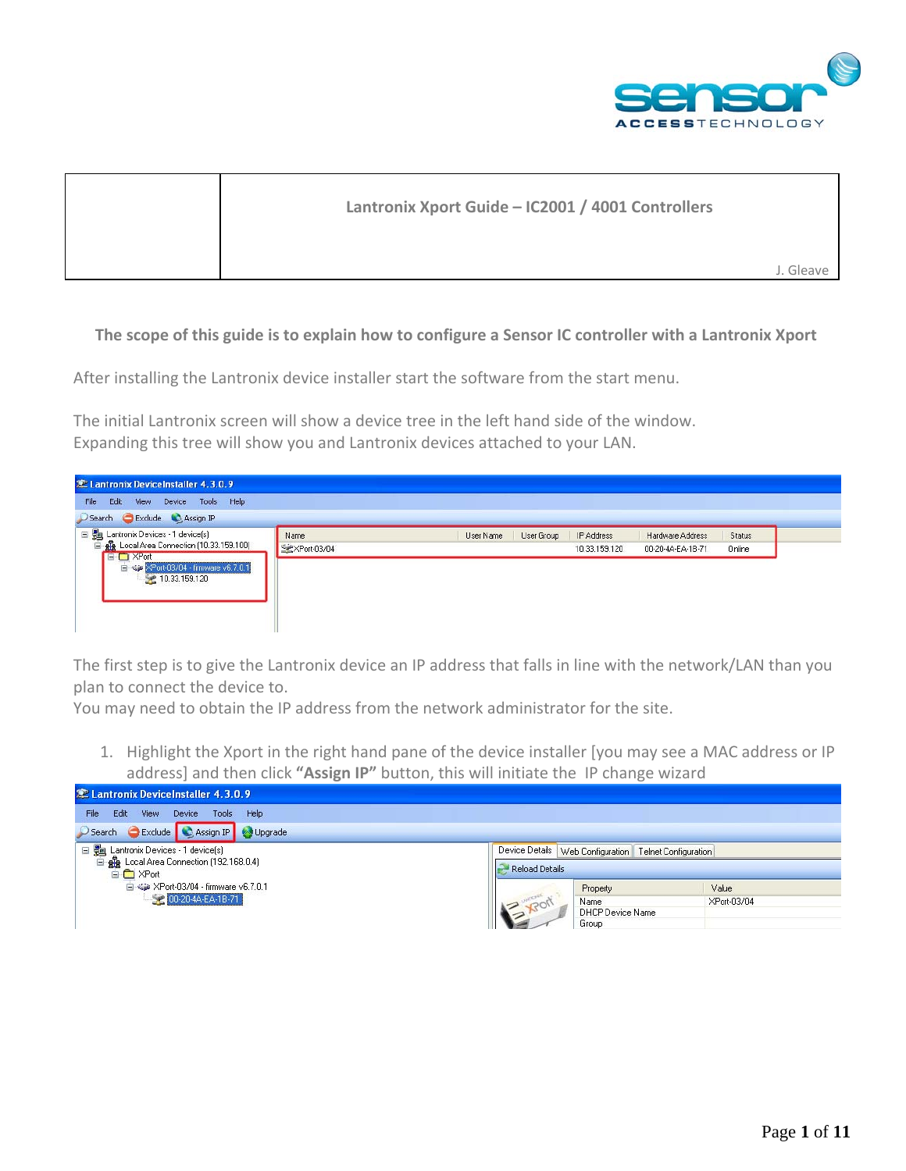

| Lantronix Xport Guide - IC2001 / 4001 Controllers |           |
|---------------------------------------------------|-----------|
|                                                   | J. Gleave |

## The scope of this guide is to explain how to configure a Sensor IC controller with a Lantronix Xport

After installing the Lantronix device installer start the software from the start menu.

The initial Lantronix screen will show a device tree in the left hand side of the window. Expanding this tree will show you and Lantronix devices attached to your LAN.



The first step is to give the Lantronix device an IP address that falls in line with the network/LAN than you plan to connect the device to.

You may need to obtain the IP address from the network administrator for the site.

1. Highlight the Xport in the right hand pane of the device installer [you may see a MAC address or IP address] and then click **"Assign IP"** button, this will initiate the IP change wizard

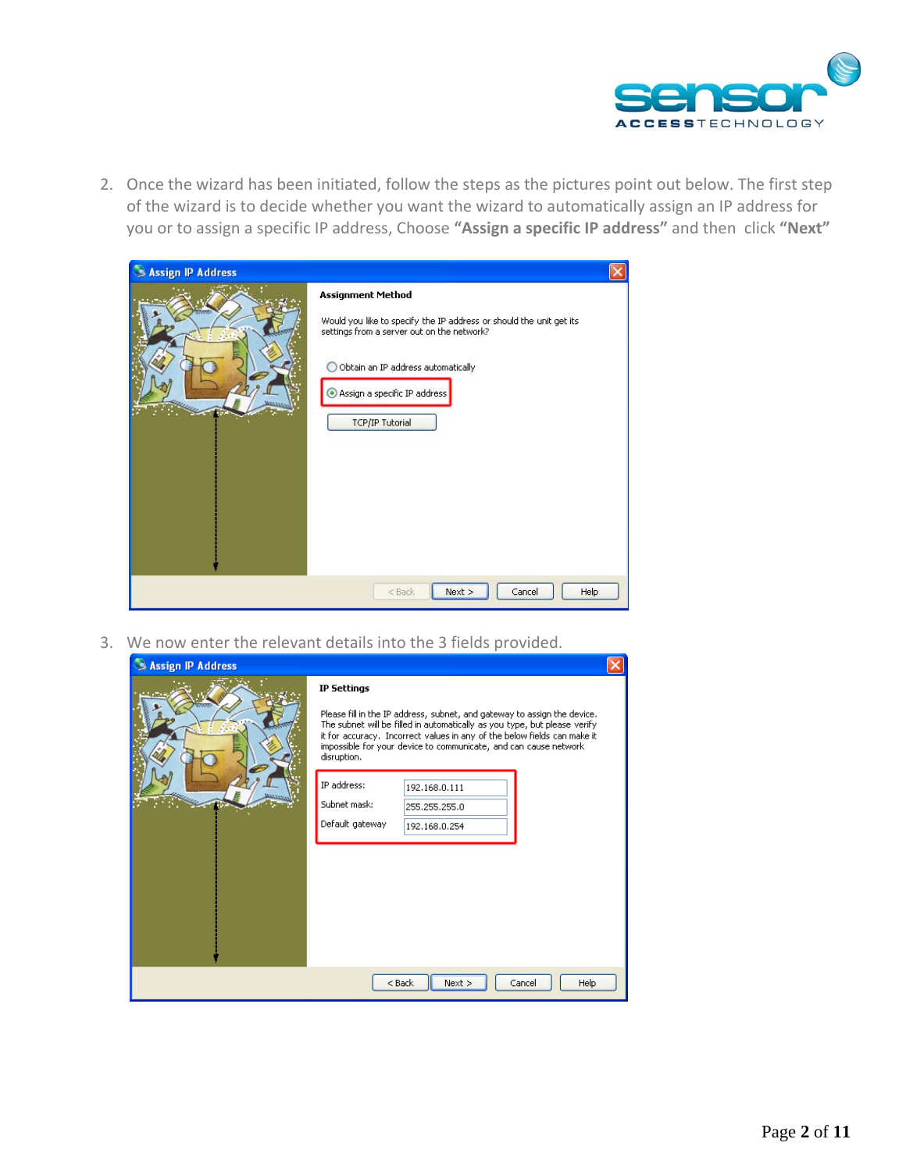

2. Once the wizard has been initiated, follow the steps as the pictures point out below. The first step of the wizard is to decide whether you want the wizard to automatically assign an IP address for you or to assign a specific IP address, Choose **"Assign a specific IP address"** and then click **"Next"**

| <b>Assign IP Address</b><br>٩ |                                                                                                                                                                                                                                                    |  |
|-------------------------------|----------------------------------------------------------------------------------------------------------------------------------------------------------------------------------------------------------------------------------------------------|--|
|                               | <b>Assignment Method</b><br>Would you like to specify the IP address or should the unit get its<br>settings from a server out on the network?<br>Obtain an IP address automatically<br>∩<br>Assign a specific IP address<br><b>TCP/IP Tutorial</b> |  |
|                               | Next<br>Cancel<br>Help<br>$<$ Back                                                                                                                                                                                                                 |  |

3. We now enter the relevant details into the 3 fields provided.

| Assign IP Address |                                                                                                                                                                                                                                                                                                                      |  |
|-------------------|----------------------------------------------------------------------------------------------------------------------------------------------------------------------------------------------------------------------------------------------------------------------------------------------------------------------|--|
|                   | <b>IP Settings</b>                                                                                                                                                                                                                                                                                                   |  |
|                   | Please fill in the IP address, subnet, and gateway to assign the device.<br>The subnet will be filled in automatically as you type, but please verify<br>it for accuracy. Incorrect values in any of the below fields can make it<br>impossible for your device to communicate, and can cause network<br>disruption. |  |
|                   | IP address:<br>192.168.0.111                                                                                                                                                                                                                                                                                         |  |
|                   | Subnet mask:<br>255.255.255.0                                                                                                                                                                                                                                                                                        |  |
|                   | Default gateway<br>192.168.0.254                                                                                                                                                                                                                                                                                     |  |
|                   |                                                                                                                                                                                                                                                                                                                      |  |
|                   | $<$ Back<br>Next<br>Cancel<br>Help                                                                                                                                                                                                                                                                                   |  |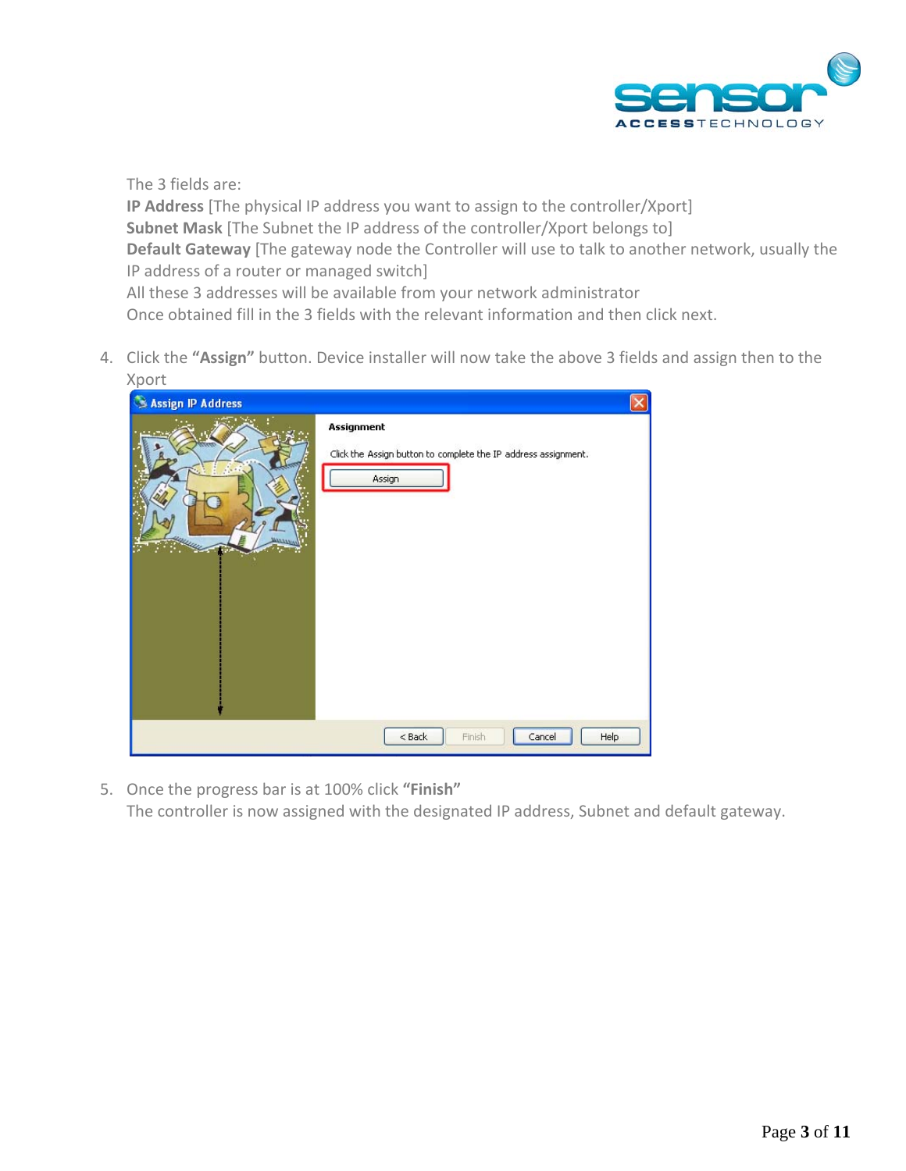

The 3 fields are: **IP Address** [The physical IP address you want to assign to the controller/Xport] **Subnet Mask** [The Subnet the IP address of the controller/Xport belongs to] **Default Gateway** [The gateway node the Controller will use to talk to another network, usually the IP address of a router or managed switch] All these 3 addresses will be available from your network administrator Once obtained fill in the 3 fields with the relevant information and then click next.

4. Click the **"Assign"** button. Device installer will now take the above 3 fields and assign then to the Xport

| H.<br>Assign IP Address |                                                                                        |
|-------------------------|----------------------------------------------------------------------------------------|
| ×,                      | Assignment<br>Click the Assign button to complete the IP address assignment.<br>Assign |
|                         | Finish<br>Help<br>$<$ Back<br>Cancel                                                   |

5. Once the progress bar is at 100% click **"Finish"** The controller is now assigned with the designated IP address, Subnet and default gateway.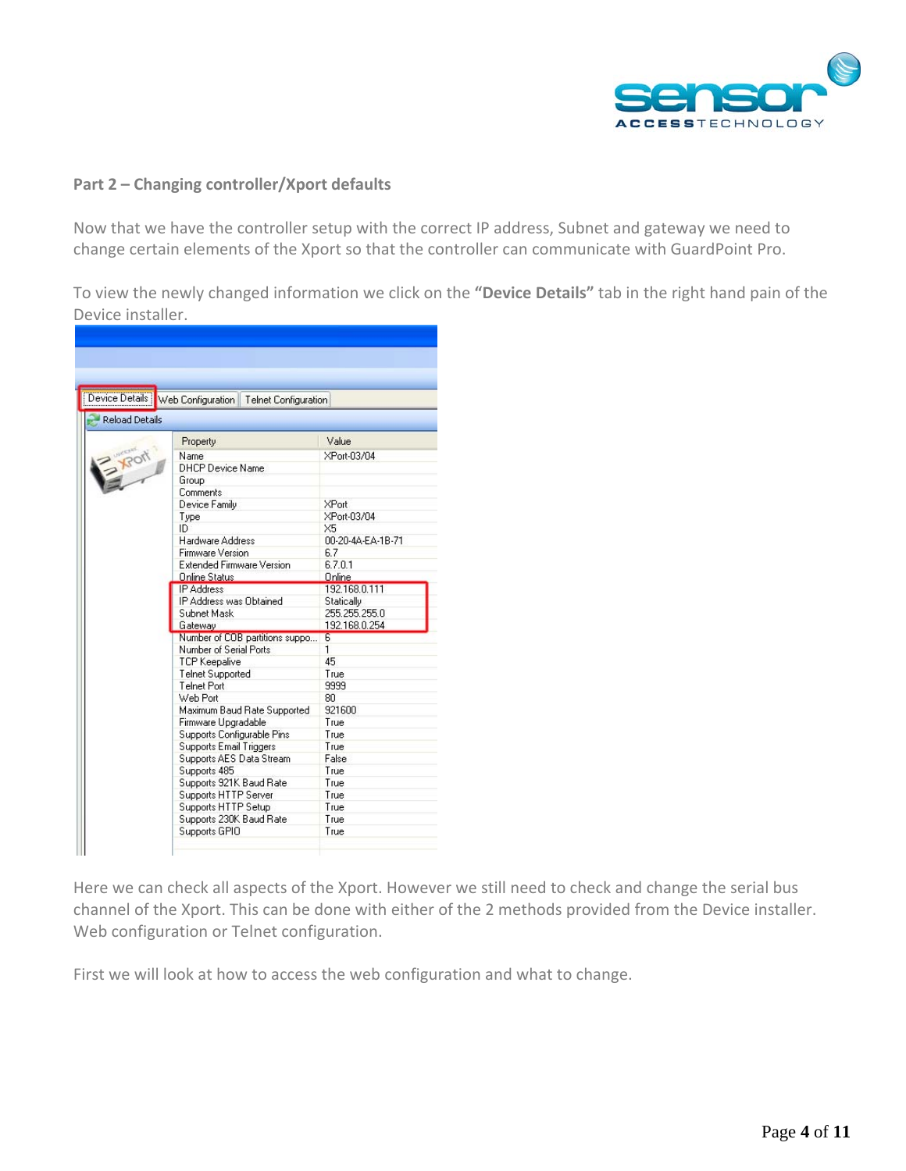

## **Part 2 – Changing controller/Xport defaults**

Now that we have the controller setup with the correct IP address, Subnet and gateway we need to change certain elements of the Xport so that the controller can communicate with GuardPoint Pro.

To view the newly changed information we click on the **"Device Details"** tab in the right hand pain of the Device installer.



Here we can check all aspects of the Xport. However we still need to check and change the serial bus channel of the Xport. This can be done with either of the 2 methods provided from the Device installer. Web configuration or Telnet configuration.

First we will look at how to access the web configuration and what to change.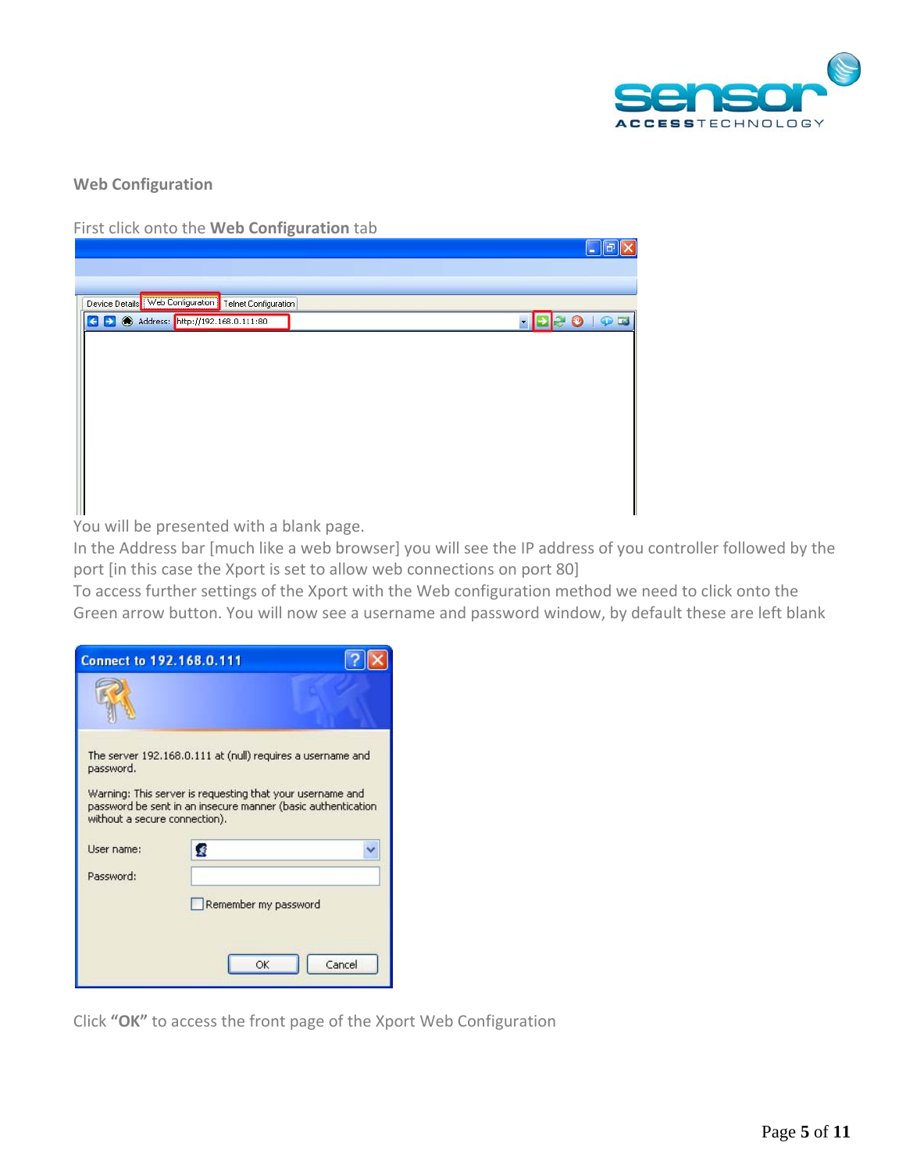

**Web Configuration**

First click onto the **Web Configuration** tab

|                                                         | ⊪a<br>l e l |
|---------------------------------------------------------|-------------|
|                                                         |             |
|                                                         |             |
| Device Details Web Configuration   Telnet Configuration |             |
| Address: http://192.168.0.111:80<br>Ð                   | $\circ$     |
|                                                         |             |
|                                                         |             |
|                                                         |             |
|                                                         |             |
|                                                         |             |
|                                                         |             |
|                                                         |             |
|                                                         |             |
|                                                         |             |

You will be presented with a blank page.

In the Address bar [much like a web browser] you will see the IP address of you controller followed by the port [in this case the Xport is set to allow web connections on port 80]

To access further settings of the Xport with the Web configuration method we need to click onto the Green arrow button. You will now see a username and password window, by default these are left blank

| <b>Connect to 192.168.0.111</b>            |                                                                                                                         |                                                              |
|--------------------------------------------|-------------------------------------------------------------------------------------------------------------------------|--------------------------------------------------------------|
|                                            |                                                                                                                         |                                                              |
| password.<br>without a secure connection). | The server 192.168.0.111 at (null) requires a username and<br>Warning: This server is requesting that your username and | password be sent in an insecure manner (basic authentication |
| User name:<br>Password:                    | Ŕ<br>Remember my password                                                                                               |                                                              |
|                                            | OK                                                                                                                      | Cancel                                                       |

Click **"OK"** to access the front page of the Xport Web Configuration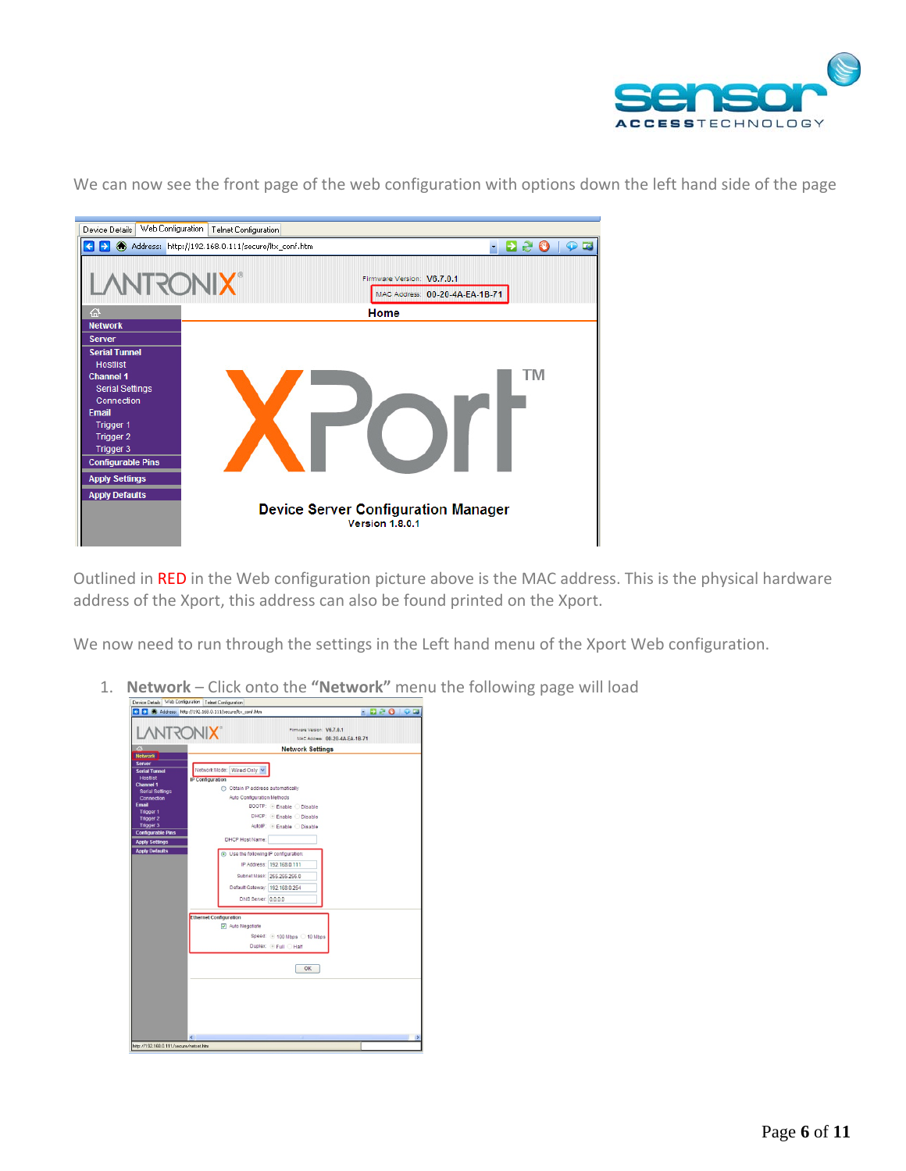



We can now see the front page of the web configuration with options down the left hand side of the page

Outlined in RED in the Web configuration picture above is the MAC address. This is the physical hardware address of the Xport, this address can also be found printed on the Xport.

We now need to run through the settings in the Left hand menu of the Xport Web configuration.

1. **Network** – Click onto the **"Network"** menu the following page will load

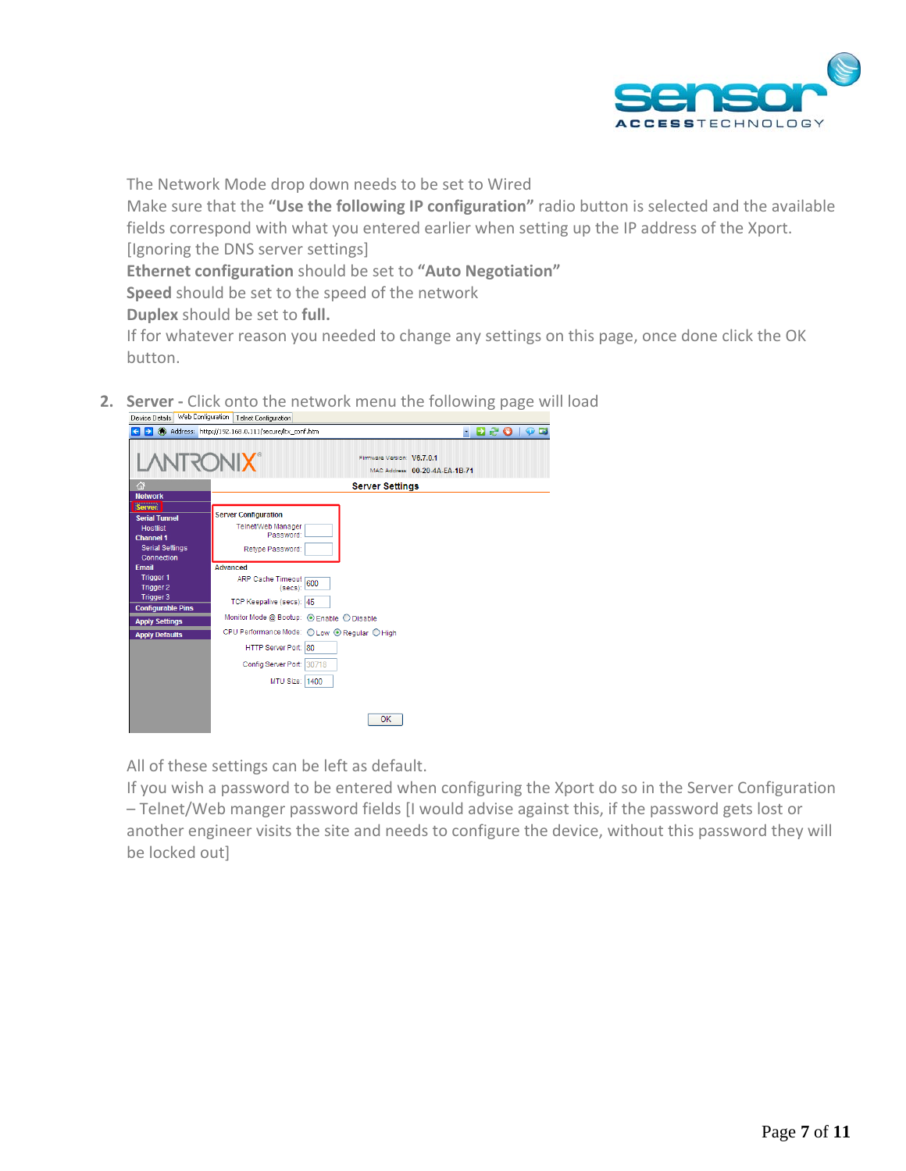

The Network Mode drop down needs to be set to Wired

Make sure that the **"Use the following IP configuration"** radio button is selected and the available fields correspond with what you entered earlier when setting up the IP address of the Xport. [Ignoring the DNS server settings]

**Ethernet configuration** should be set to **"Auto Negotiation"**

**Speed** should be set to the speed of the network

**Duplex** should be set to **full.**

If for whatever reason you needed to change any settings on this page, once done click the OK button.

**2. Server ‐** Click onto the network menu the following page will load

| Web Configuration<br>Device Details | Telnet Configuration<br>Address: http://192.168.0.111/secure/ltx_conf.htm |                                 |
|-------------------------------------|---------------------------------------------------------------------------|---------------------------------|
|                                     |                                                                           | <b>EN SO</b><br>$\bullet$<br>×. |
| <b>LANTRONIX®</b>                   | Firmware Version: V6.7.0.1                                                | MAC Address: 00-20-4A-EA-1B-71  |
| 谷                                   | <b>Server Settings</b>                                                    |                                 |
| <b>Network</b>                      |                                                                           |                                 |
| Server                              | <b>Server Configuration</b>                                               |                                 |
| <b>Serial Tunnel</b>                | Telnet/Web Manager                                                        |                                 |
| <b>Hostlist</b><br><b>Channel 1</b> | Password:                                                                 |                                 |
| <b>Serial Settings</b>              |                                                                           |                                 |
| Connection                          | Retype Password:                                                          |                                 |
| <b>Email</b>                        | Advanced                                                                  |                                 |
| <b>Trigger 1</b>                    |                                                                           |                                 |
| <b>Trigger 2</b>                    | ARP Cache Timeout 600                                                     |                                 |
| <b>Trigger 3</b>                    | TCP Keepalive (secs): 45                                                  |                                 |
| <b>Configurable Pins</b>            | Monitor Mode @ Bootup: © Enable O Disable                                 |                                 |
| <b>Apply Settings</b>               | CPU Performance Mode: O Low O Regular O High                              |                                 |
| <b>Apply Defaults</b>               |                                                                           |                                 |
|                                     | HTTP Server Port: 80                                                      |                                 |
|                                     | Config Server Port: 30718                                                 |                                 |
|                                     | MTU Size: 1400                                                            |                                 |
|                                     |                                                                           |                                 |
|                                     | <b>OK</b>                                                                 |                                 |
|                                     |                                                                           |                                 |

All of these settings can be left as default.

If you wish a password to be entered when configuring the Xport do so in the Server Configuration – Telnet/Web manger password fields [I would advise against this, if the password gets lost or another engineer visits the site and needs to configure the device, without this password they will be locked out]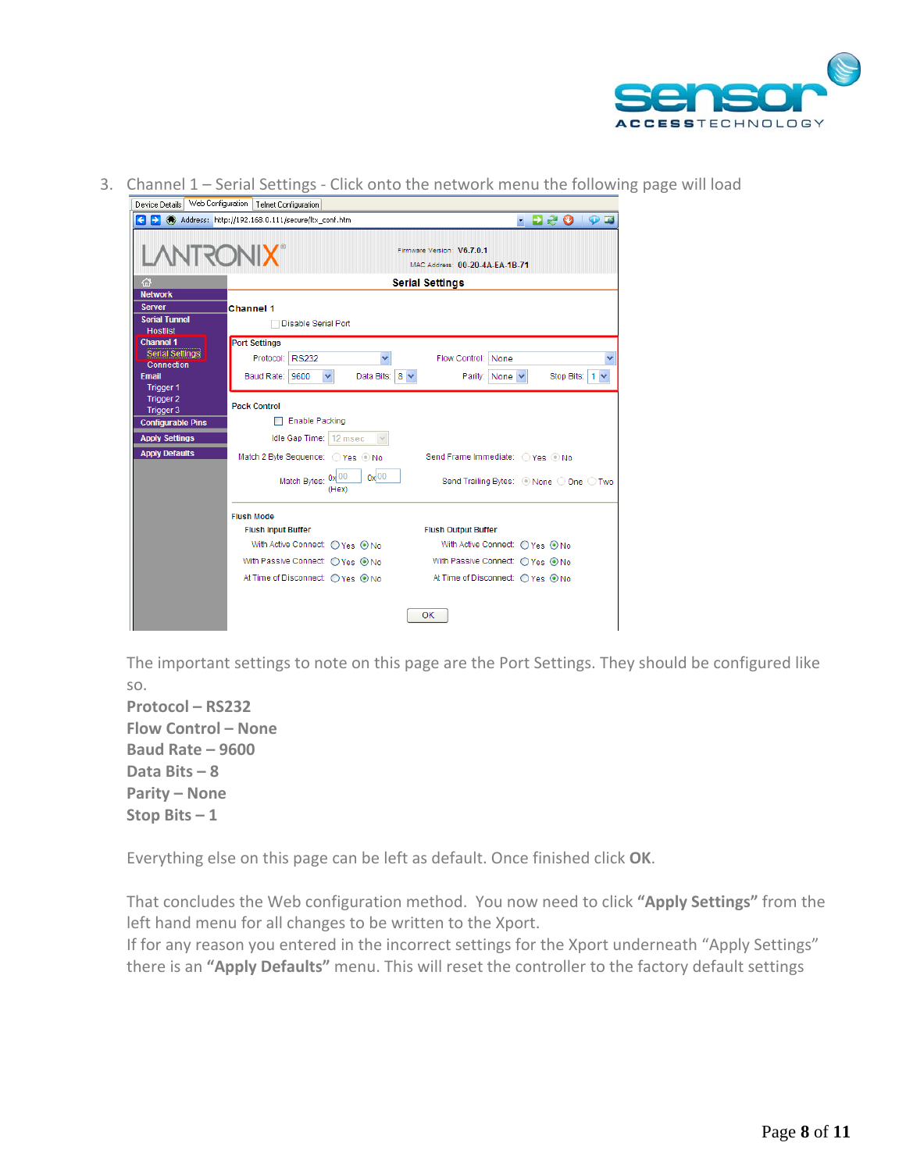

3. Channel 1 – Serial Settings - Click onto the network menu the following page will load

| nevice neralis i<br>web computation   Telnet Confidingtion<br><b>Deo</b><br>$\leftarrow$<br>Ы<br>Address: http://192.168.0.111/secure/ltx_conf.htm<br>$\bullet$ $\blacksquare$<br>×. |                                                                              |                                                              |  |  |  |  |
|--------------------------------------------------------------------------------------------------------------------------------------------------------------------------------------|------------------------------------------------------------------------------|--------------------------------------------------------------|--|--|--|--|
| <b>TURITY</b>                                                                                                                                                                        |                                                                              | Firmware Version: V6.7.0.1<br>MAC Address: 00-20-4A-EA-1B-71 |  |  |  |  |
| 帘                                                                                                                                                                                    |                                                                              | <b>Serial Settings</b>                                       |  |  |  |  |
| <b>Network</b>                                                                                                                                                                       |                                                                              |                                                              |  |  |  |  |
| <b>Server</b><br><b>Serial Tunnel</b><br><b>Hostlist</b>                                                                                                                             | <b>Channel 1</b><br>Disable Serial Port                                      |                                                              |  |  |  |  |
| <b>Channel 1</b><br><b>Serial Settings</b><br><b>Connection</b><br><b>Email</b>                                                                                                      | <b>Port Settings</b><br>Protocol: RS232<br>Baud Rate: 9600<br>Data Bits: 8 v | Flow Control: None                                           |  |  |  |  |
| <b>Trigger 1</b><br>Trigger 2<br>Trigger 3                                                                                                                                           | v<br><b>Pack Control</b>                                                     | Parity: None<br>Stop Bits:<br>1 <sub>v</sub>                 |  |  |  |  |
| <b>Configurable Pins</b>                                                                                                                                                             | <b>Enable Packing</b>                                                        |                                                              |  |  |  |  |
| <b>Apply Settings</b>                                                                                                                                                                | Idle Gap Time:   12 msec<br>$\vee$                                           |                                                              |  |  |  |  |
| <b>Apply Defaults</b>                                                                                                                                                                | Match 2 Byte Sequence: O Yes O No                                            | Send Frame Immediate: ○ Yes ⊙ No                             |  |  |  |  |
|                                                                                                                                                                                      | $0x$ 00<br>Match Bytes: 0x 00<br>(Hex)                                       | Send Trailing Bytes: O None O One O Two                      |  |  |  |  |
|                                                                                                                                                                                      | <b>Flush Mode</b>                                                            |                                                              |  |  |  |  |
|                                                                                                                                                                                      | <b>Flush Input Buffer</b>                                                    | <b>Flush Output Buffer</b>                                   |  |  |  |  |
|                                                                                                                                                                                      | With Active Connect: ○ Yes ⊙ No                                              | With Active Connect: ○ Yes ⊙ No                              |  |  |  |  |
|                                                                                                                                                                                      | With Passive Connect: ○ Yes ⊙ No                                             | With Passive Connect: ○ Yes ⊙ No                             |  |  |  |  |
|                                                                                                                                                                                      | At Time of Disconnect: ○ Yes ⊙ No                                            | At Time of Disconnect: ○ Yes ⊙ No                            |  |  |  |  |
|                                                                                                                                                                                      |                                                                              | OK                                                           |  |  |  |  |

The important settings to note on this page are the Port Settings. They should be configured like so.

**Protocol – RS232 Flow Control – None Baud Rate – 9600 Data Bits – 8 Parity – None Stop Bits – 1**

Everything else on this page can be left as default. Once finished click **OK**.

That concludes the Web configuration method. You now need to click **"Apply Settings"** from the left hand menu for all changes to be written to the Xport.

If for any reason you entered in the incorrect settings for the Xport underneath "Apply Settings" there is an **"Apply Defaults"** menu. This will reset the controller to the factory default settings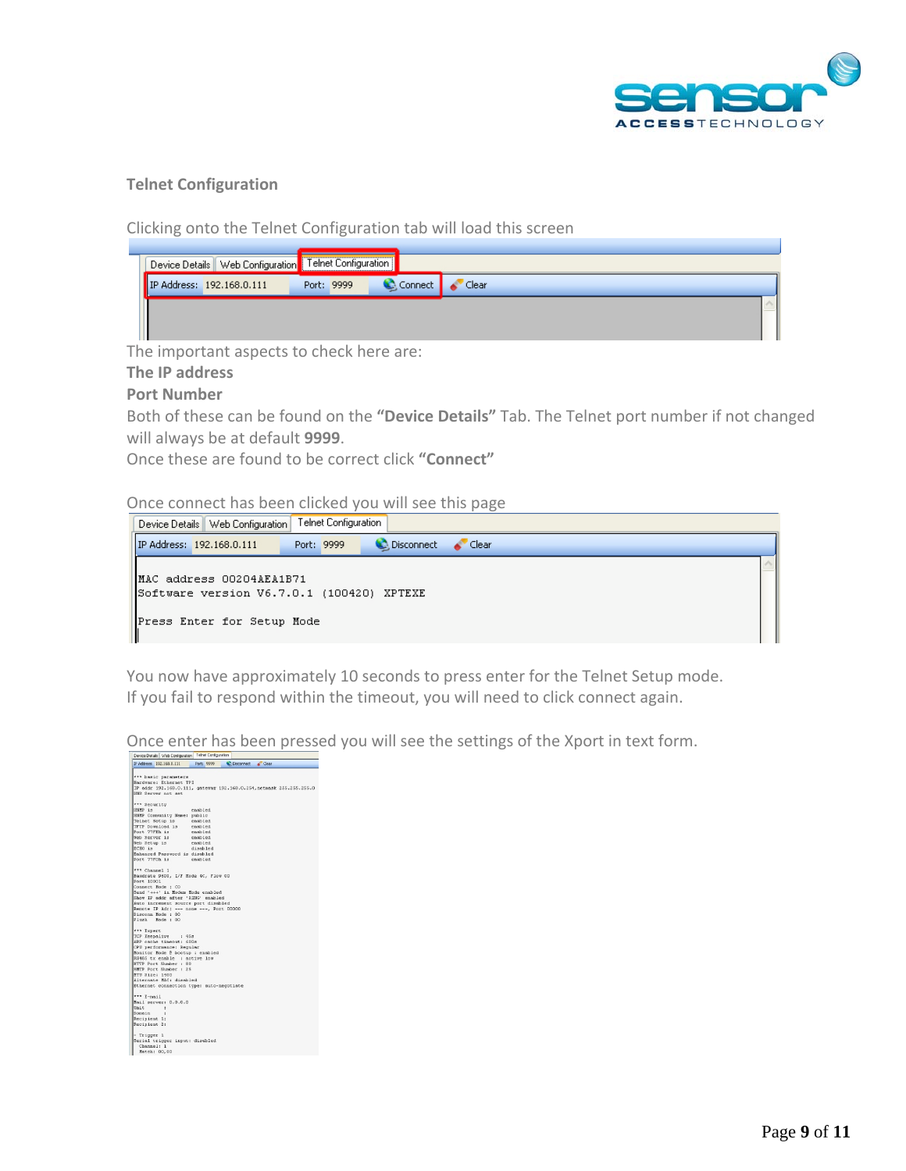

## **Telnet Configuration**

Clicking onto the Telnet Configuration tab will load this screen

|  | <sup>1</sup> Device Details   Web Configuration   Telnet Configuration |            |               |  |
|--|------------------------------------------------------------------------|------------|---------------|--|
|  | IP Address: 192.168.0.111                                              | Port: 9999 | Connect Clear |  |
|  |                                                                        |            |               |  |

The important aspects to check here are:

#### **The IP address**

## **Port Number**

Both of these can be found on the **"Device Details"** Tab. The Telnet port number if not changed will always be at default **9999**.

Once these are found to be correct click **"Connect"**

Once connect has been clicked you will see this page

| Telnet Configuration<br>Device Details   Web Configuration |                                                                       |  |            |             |  |  |
|------------------------------------------------------------|-----------------------------------------------------------------------|--|------------|-------------|--|--|
|                                                            | IP Address: 192.168.0.111                                             |  | Port: 9999 | Clear Clear |  |  |
|                                                            | MAC address 00204AEA1B71<br>Software version V6.7.0.1 (100420) XPTEXE |  |            |             |  |  |
|                                                            | Press Enter for Setup Mode                                            |  |            |             |  |  |

You now have approximately 10 seconds to press enter for the Telnet Setup mode. If you fail to respond within the timeout, you will need to click connect again.

Once enter has been pressed you will see the settings of the Xport in text form.

| Device Details Web Configuration Tehet Configuration                     |
|--------------------------------------------------------------------------|
| IP Address: 192.168.0.111<br>Port: 9999<br>Disconnect & Clear            |
|                                                                          |
| *** basic parameters                                                     |
| Hardware: Ethernet TPI                                                   |
| IP addr 192.168.0.111, gateway 192.168.0.254, netwask 255.255.255.0      |
| DNS Server not set                                                       |
|                                                                          |
| *** Security                                                             |
| SNMP is<br>enabled                                                       |
| SNMP Community Name: public                                              |
| Telnet Setup is enabled<br>TFTP Download is enabled                      |
| Port 77FEh is<br>enabled                                                 |
| Web Server is<br>enabled                                                 |
| Web Setup is<br>enabled                                                  |
| ECHO is<br>disabled                                                      |
| Enhanced Password is disabled                                            |
| Port 77FOh is<br>enabled                                                 |
|                                                                          |
| *** Channel 1                                                            |
| Baudrate 9600, I/F Mode 4C, Flow 00                                      |
| Port 10001                                                               |
| Connect Mode : CO                                                        |
| Send '+++' in Modem Mode enabled                                         |
| Show IP addr after 'RING' enabled<br>Auto increment source port disabled |
| Remote IP Adr: --- none ---, Port 00000                                  |
| Disconn Mode: 00                                                         |
| Flugh<br>Mode: 00                                                        |
|                                                                          |
| *** Expert                                                               |
| TCP Keepalive : 45s                                                      |
| ARP cache timeout: 600s                                                  |
| CPU performance: Regular                                                 |
| Monitor Mode @ bootup : enabled<br>RS485 tx enable : active low          |
| HTTP Port Number : 80                                                    |
| SHTP Port Number : 25                                                    |
| NTU Size: 1400                                                           |
| Alternate MAC: disabled                                                  |
| Ethernet connection type: auto-negotiate                                 |
|                                                                          |
| *** E-mail                                                               |
| Mail server: 0.0.0.0                                                     |
| Unit<br>- 1                                                              |
| Domain<br>×                                                              |
| Recipient 1:<br>Recipient 2:                                             |
|                                                                          |
| - Trigger 1                                                              |
| Serial trigger input: disabled                                           |
| Channel: 1                                                               |
| Match: 00,00                                                             |
|                                                                          |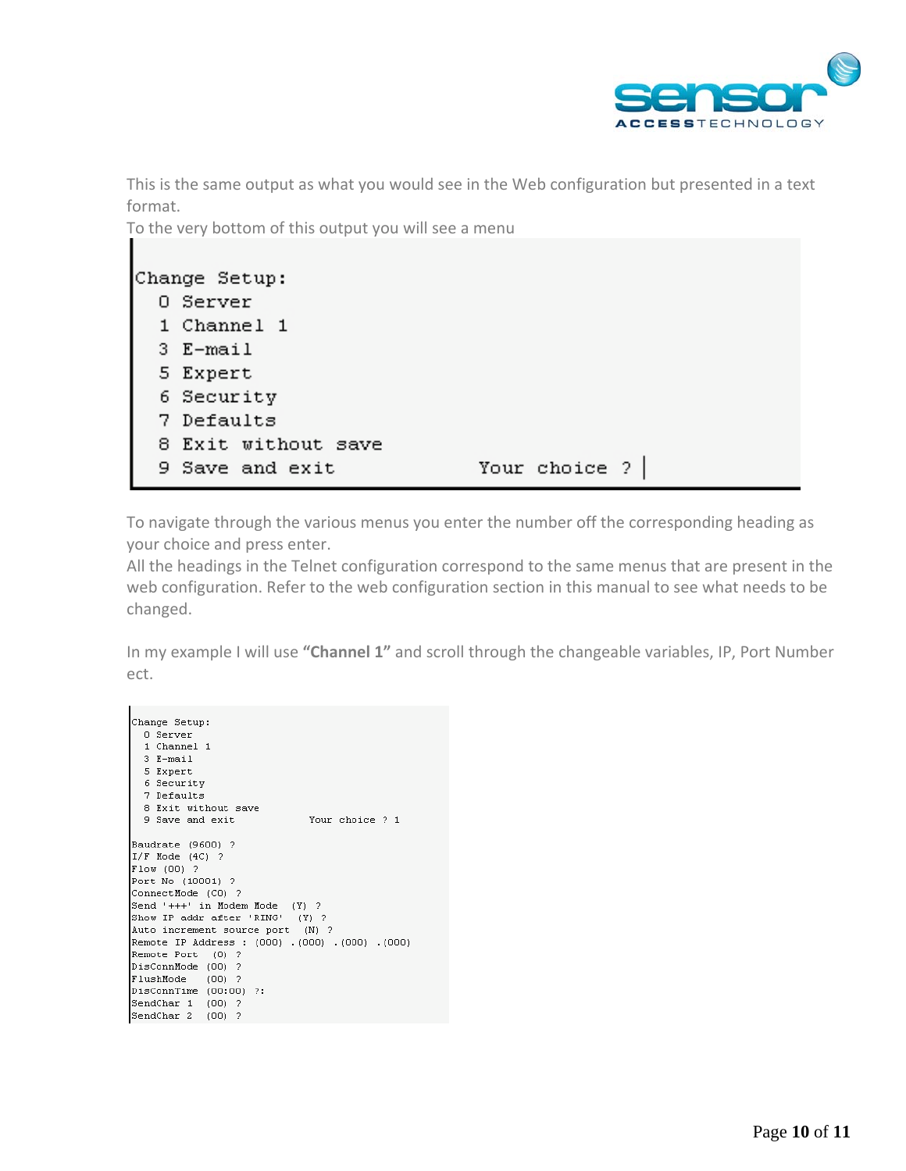

This is the same output as what you would see in the Web configuration but presented in a text format.

To the very bottom of this output you will see a menu

| Change Setup:       |                 |
|---------------------|-----------------|
| 0 Server            |                 |
| 1 Channel 1         |                 |
| 3 E-mail            |                 |
| 5 Expert            |                 |
| 6 Security          |                 |
| 7 Defaults          |                 |
| 8 Exit without save |                 |
| 9 Save and exit     | Your choice $?$ |

To navigate through the various menus you enter the number off the corresponding heading as your choice and press enter.

All the headings in the Telnet configuration correspond to the same menus that are present in the web configuration. Refer to the web configuration section in this manual to see what needs to be changed.

In my example I will use **"Channel 1"** and scroll through the changeable variables, IP, Port Number ect.

```
Change Setup:
  0 Server
  1 Channel 1
  3 E-mail
  5 Expert
  6 Security
  7 Defaults
  8 Exit without save
  9 Save and exit
                            Your choice ? 1
Baudrate (9600) ?
I/F Mode (4C) ?
Flow(00) ?
Port No (10001) ?
ConnectMode (CO) ?
Send '+++' in Modem Mode (Y) ?
Show IP addr after 'RING' (Y) ?<br>Auto increment source port (N) ?
Remote IP Address : (000) . (000) . (000) . (000)
Remote Port (0) ?
DisConnMode (00) ?
FlushMode (00) ?
DisConnTime (00:00) ?:
SendChar 1 (00) ?
SendChar 2 (00) ?
```